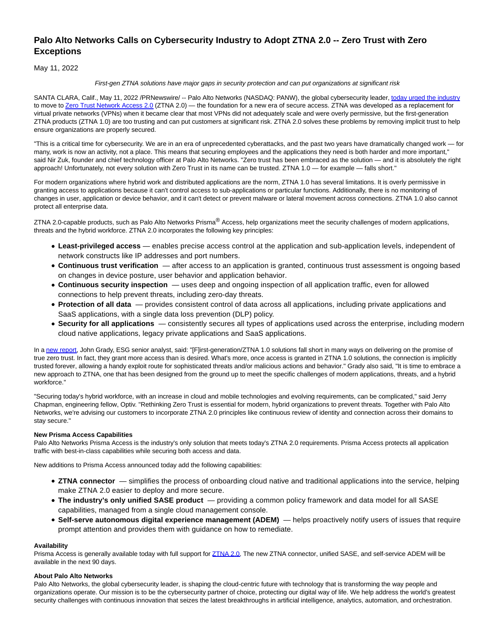# **Palo Alto Networks Calls on Cybersecurity Industry to Adopt ZTNA 2.0 -- Zero Trust with Zero Exceptions**

May 11, 2022

### First-gen ZTNA solutions have major gaps in security protection and can put organizations at significant risk

SANTA CLARA, Calif., May 11, 2022 /PRNewswire/ -- Palo Alto Networks (NASDAQ: PANW), the global cybersecurity leader[, today urged the industry](https://www.paloaltonetworks.com/blog/2022/05/the-world-needs-ztna-2-0-for-todays-hybrid-workforce/) to move to [Zero Trust Network Access 2.0 \(](https://www.paloaltonetworks.com/sase/ztna)ZTNA 2.0) — the foundation for a new era of secure access. ZTNA was developed as a replacement for virtual private networks (VPNs) when it became clear that most VPNs did not adequately scale and were overly permissive, but the first-generation ZTNA products (ZTNA 1.0) are too trusting and can put customers at significant risk. ZTNA 2.0 solves these problems by removing implicit trust to help ensure organizations are properly secured.

"This is a critical time for cybersecurity. We are in an era of unprecedented cyberattacks, and the past two years have dramatically changed work — for many, work is now an activity, not a place. This means that securing employees and the applications they need is both harder and more important," said Nir Zuk, founder and chief technology officer at Palo Alto Networks. "Zero trust has been embraced as the solution — and it is absolutely the right approach! Unfortunately, not every solution with Zero Trust in its name can be trusted. ZTNA 1.0 — for example — falls short."

For modern organizations where hybrid work and distributed applications are the norm, ZTNA 1.0 has several limitations. It is overly permissive in granting access to applications because it can't control access to sub-applications or particular functions. Additionally, there is no monitoring of changes in user, application or device behavior, and it can't detect or prevent malware or lateral movement across connections. ZTNA 1.0 also cannot protect all enterprise data.

ZTNA 2.0-capable products, such as Palo Alto Networks Prisma<sup>®</sup> Access, help organizations meet the security challenges of modern applications, threats and the hybrid workforce. ZTNA 2.0 incorporates the following key principles:

- **Least-privileged access** enables precise access control at the application and sub-application levels, independent of network constructs like IP addresses and port numbers.
- **Continuous trust verification**  after access to an application is granted, continuous trust assessment is ongoing based on changes in device posture, user behavior and application behavior.
- **Continuous security inspection**  uses deep and ongoing inspection of all application traffic, even for allowed connections to help prevent threats, including zero-day threats.
- **Protection of all data**  provides consistent control of data across all applications, including private applications and SaaS applications, with a single data loss prevention (DLP) policy.
- **Security for all applications**  consistently secures all types of applications used across the enterprise, including modern cloud native applications, legacy private applications and SaaS applications.

In [a new report,](https://interactive.esg-global.com/reports/The-Evolution-of-ZTNA-to-Fully-Support-Zero-Trust-Strategies) John Grady, ESG senior analyst, said: "[F]irst-generation/ZTNA 1.0 solutions fall short in many ways on delivering on the promise of true zero trust. In fact, they grant more access than is desired. What's more, once access is granted in ZTNA 1.0 solutions, the connection is implicitly trusted forever, allowing a handy exploit route for sophisticated threats and/or malicious actions and behavior." Grady also said, "It is time to embrace a new approach to ZTNA, one that has been designed from the ground up to meet the specific challenges of modern applications, threats, and a hybrid workforce."

"Securing today's hybrid workforce, with an increase in cloud and mobile technologies and evolving requirements, can be complicated," said Jerry Chapman, engineering fellow, Optiv. "Rethinking Zero Trust is essential for modern, hybrid organizations to prevent threats. Together with Palo Alto Networks, we're advising our customers to incorporate ZTNA 2.0 principles like continuous review of identity and connection across their domains to stay secure."

## **New Prisma Access Capabilities**

Palo Alto Networks Prisma Access is the industry's only solution that meets today's ZTNA 2.0 requirements. Prisma Access protects all application traffic with best-in-class capabilities while securing both access and data.

New additions to Prisma Access announced today add the following capabilities:

- **ZTNA connector**  simplifies the process of onboarding cloud native and traditional applications into the service, helping make ZTNA 2.0 easier to deploy and more secure.
- **The industry's only unified SASE product**  providing a common policy framework and data model for all SASE capabilities, managed from a single cloud management console.
- **Self-serve autonomous digital experience management (ADEM)**  helps proactively notify users of issues that require prompt attention and provides them with guidance on how to remediate.

## **Availability**

Prisma Access is generally available today with full support for [ZTNA 2.0.](https://www.paloaltonetworks.com/cyberpedia/what-is-zero-trust-network-access-2-0) The new ZTNA connector, unified SASE, and self-service ADEM will be available in the next 90 days.

## **About Palo Alto Networks**

Palo Alto Networks, the global cybersecurity leader, is shaping the cloud-centric future with technology that is transforming the way people and organizations operate. Our mission is to be the cybersecurity partner of choice, protecting our digital way of life. We help address the world's greatest security challenges with continuous innovation that seizes the latest breakthroughs in artificial intelligence, analytics, automation, and orchestration.